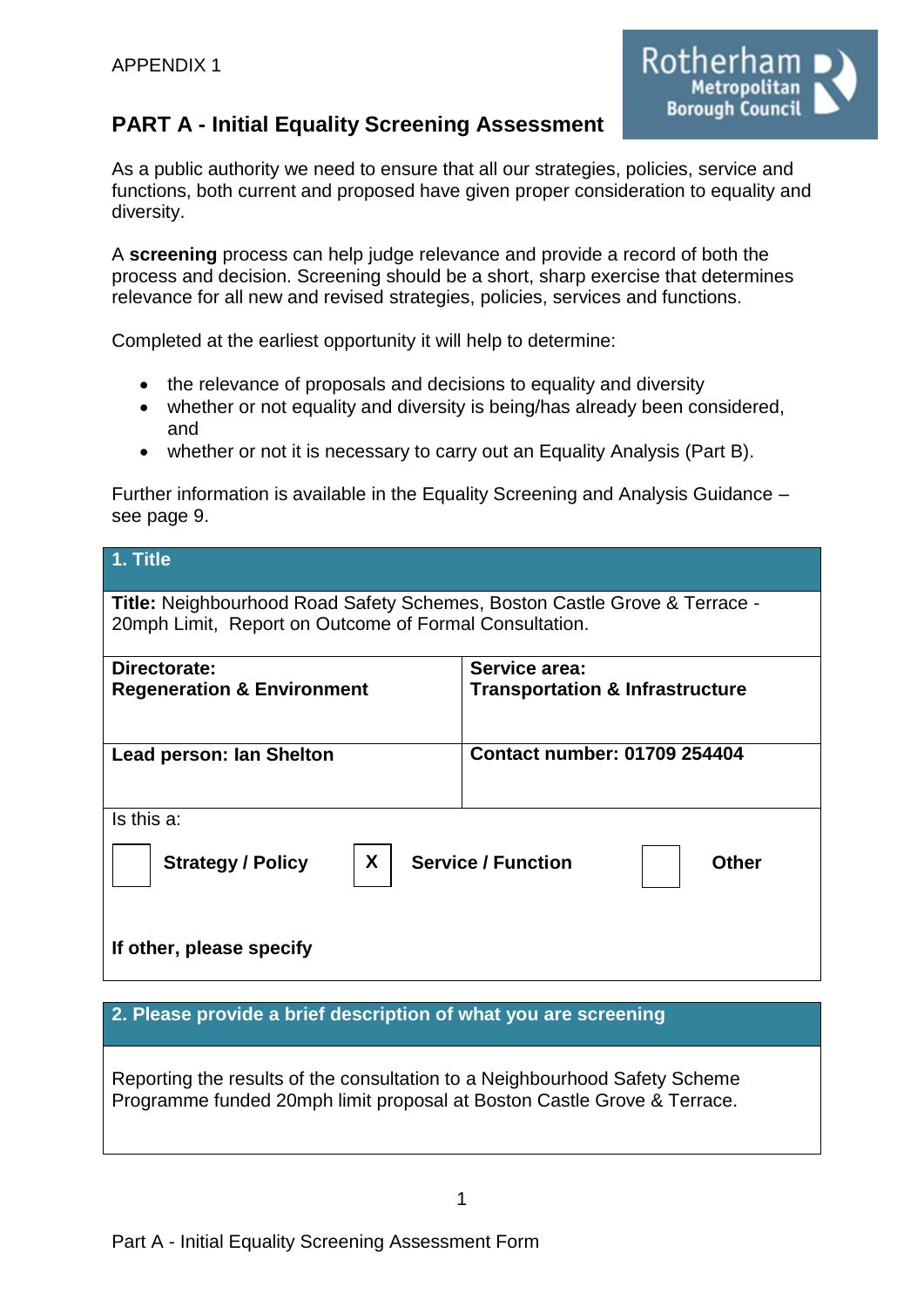

# **PART A - Initial Equality Screening Assessment**

As a public authority we need to ensure that all our strategies, policies, service and functions, both current and proposed have given proper consideration to equality and diversity.

A **screening** process can help judge relevance and provide a record of both the process and decision. Screening should be a short, sharp exercise that determines relevance for all new and revised strategies, policies, services and functions.

Completed at the earliest opportunity it will help to determine:

- the relevance of proposals and decisions to equality and diversity
- whether or not equality and diversity is being/has already been considered, and
- whether or not it is necessary to carry out an Equality Analysis (Part B).

Further information is available in the Equality Screening and Analysis Guidance – see page 9.

| 1. Title                                                                                                                            |                                                             |  |  |  |
|-------------------------------------------------------------------------------------------------------------------------------------|-------------------------------------------------------------|--|--|--|
| Title: Neighbourhood Road Safety Schemes, Boston Castle Grove & Terrace -<br>20mph Limit, Report on Outcome of Formal Consultation. |                                                             |  |  |  |
| Directorate:<br><b>Regeneration &amp; Environment</b>                                                                               | Service area:<br><b>Transportation &amp; Infrastructure</b> |  |  |  |
| Lead person: Ian Shelton                                                                                                            | <b>Contact number: 01709 254404</b>                         |  |  |  |
| Is this a:                                                                                                                          |                                                             |  |  |  |
| X.<br><b>Service / Function</b><br><b>Strategy / Policy</b><br><b>Other</b>                                                         |                                                             |  |  |  |
| If other, please specify                                                                                                            |                                                             |  |  |  |

## **2. Please provide a brief description of what you are screening**

Reporting the results of the consultation to a Neighbourhood Safety Scheme Programme funded 20mph limit proposal at Boston Castle Grove & Terrace.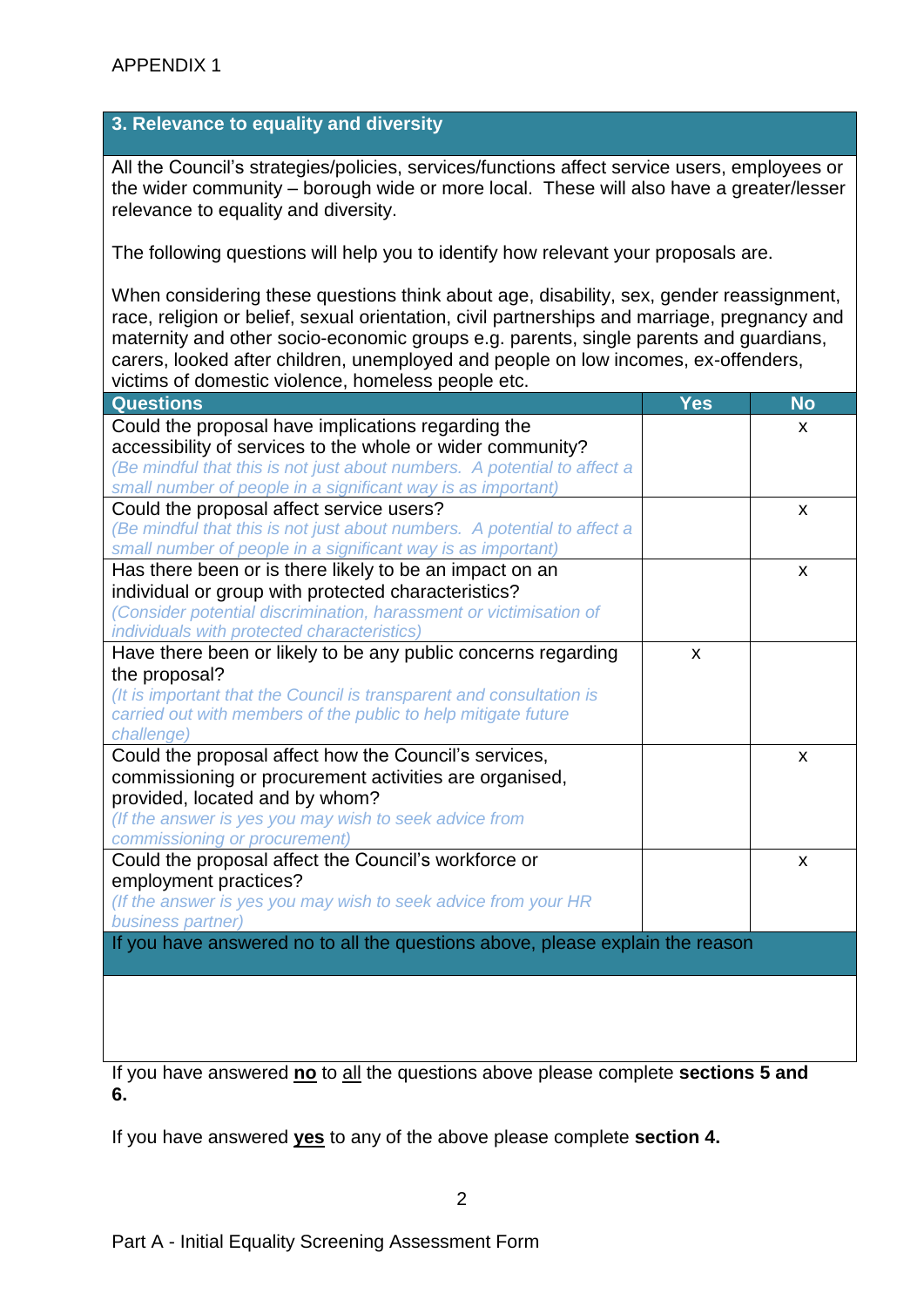### **3. Relevance to equality and diversity**

All the Council's strategies/policies, services/functions affect service users, employees or the wider community – borough wide or more local. These will also have a greater/lesser relevance to equality and diversity.

The following questions will help you to identify how relevant your proposals are.

When considering these questions think about age, disability, sex, gender reassignment, race, religion or belief, sexual orientation, civil partnerships and marriage, pregnancy and maternity and other socio-economic groups e.g. parents, single parents and guardians, carers, looked after children, unemployed and people on low incomes, ex-offenders, victims of domestic violence, homeless people etc.

| <b>Questions</b>                                                              | Yes | <b>No</b> |
|-------------------------------------------------------------------------------|-----|-----------|
| Could the proposal have implications regarding the                            |     | <b>X</b>  |
| accessibility of services to the whole or wider community?                    |     |           |
| (Be mindful that this is not just about numbers. A potential to affect a      |     |           |
| small number of people in a significant way is as important)                  |     |           |
| Could the proposal affect service users?                                      |     | X         |
| (Be mindful that this is not just about numbers. A potential to affect a      |     |           |
| small number of people in a significant way is as important)                  |     |           |
| Has there been or is there likely to be an impact on an                       |     | X         |
| individual or group with protected characteristics?                           |     |           |
| (Consider potential discrimination, harassment or victimisation of            |     |           |
| individuals with protected characteristics)                                   |     |           |
| Have there been or likely to be any public concerns regarding                 | X   |           |
| the proposal?                                                                 |     |           |
| (It is important that the Council is transparent and consultation is          |     |           |
| carried out with members of the public to help mitigate future                |     |           |
| challenge)                                                                    |     |           |
| Could the proposal affect how the Council's services,                         |     | X         |
| commissioning or procurement activities are organised,                        |     |           |
| provided, located and by whom?                                                |     |           |
| (If the answer is yes you may wish to seek advice from                        |     |           |
| commissioning or procurement)                                                 |     |           |
| Could the proposal affect the Council's workforce or                          |     | X         |
| employment practices?                                                         |     |           |
| (If the answer is yes you may wish to seek advice from your HR                |     |           |
| business partner)                                                             |     |           |
| If you have answered no to all the questions above, please explain the reason |     |           |
|                                                                               |     |           |
|                                                                               |     |           |
|                                                                               |     |           |
|                                                                               |     |           |

If you have answered **no** to all the questions above please complete **sections 5 and 6.**

If you have answered **yes** to any of the above please complete **section 4.**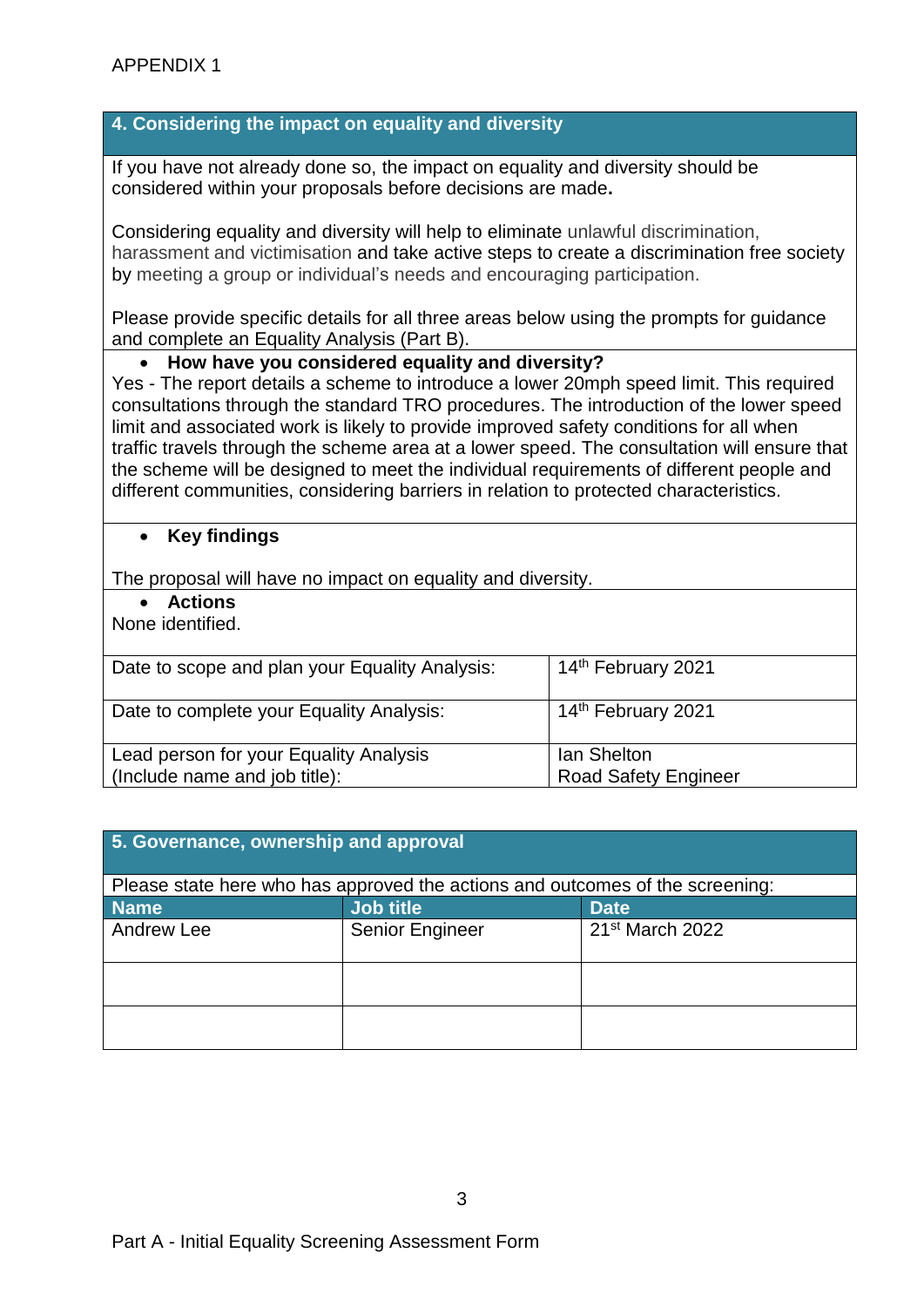#### **4. Considering the impact on equality and diversity**

If you have not already done so, the impact on equality and diversity should be considered within your proposals before decisions are made**.**

Considering equality and diversity will help to eliminate unlawful discrimination, harassment and victimisation and take active steps to create a discrimination free society by meeting a group or individual's needs and encouraging participation.

Please provide specific details for all three areas below using the prompts for guidance and complete an Equality Analysis (Part B).

#### **How have you considered equality and diversity?**

Yes - The report details a scheme to introduce a lower 20mph speed limit. This required consultations through the standard TRO procedures. The introduction of the lower speed limit and associated work is likely to provide improved safety conditions for all when traffic travels through the scheme area at a lower speed. The consultation will ensure that the scheme will be designed to meet the individual requirements of different people and different communities, considering barriers in relation to protected characteristics.

#### **Key findings**

The proposal will have no impact on equality and diversity.

**Actions**

None identified.

| Date to scope and plan your Equality Analysis:                          | 14 <sup>th</sup> February 2021                    |
|-------------------------------------------------------------------------|---------------------------------------------------|
| Date to complete your Equality Analysis:                                | 14 <sup>th</sup> February 2021                    |
| Lead person for your Equality Analysis<br>(Include name and job title): | <b>Ian Shelton</b><br><b>Road Safety Engineer</b> |

| 5. Governance, ownership and approval                                         |                  |                             |  |  |
|-------------------------------------------------------------------------------|------------------|-----------------------------|--|--|
| Please state here who has approved the actions and outcomes of the screening: |                  |                             |  |  |
| <b>Name</b>                                                                   | <b>Job title</b> | <b>Date</b>                 |  |  |
| Andrew Lee                                                                    | Senior Engineer  | 21 <sup>st</sup> March 2022 |  |  |
|                                                                               |                  |                             |  |  |
|                                                                               |                  |                             |  |  |